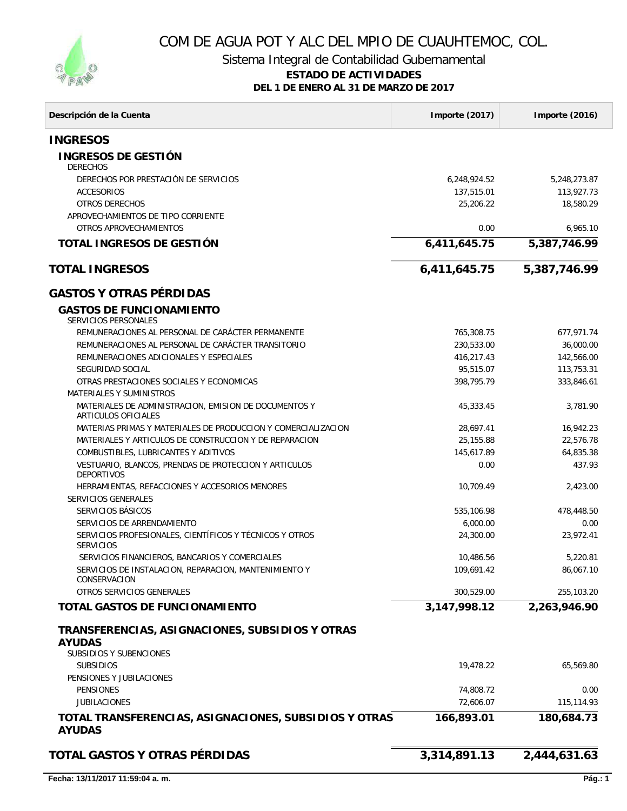

## COM DE AGUA POT Y ALC DEL MPIO DE CUAUHTEMOC, COL.

Sistema Integral de Contabilidad Gubernamental

#### **ESTADO DE ACTIVIDADES**

**DEL 1 DE ENERO AL 31 DE MARZO DE 2017**

| Descripción de la Cuenta                                                     | Importe (2017) | Importe (2016) |
|------------------------------------------------------------------------------|----------------|----------------|
| <b>INGRESOS</b>                                                              |                |                |
| <b>INGRESOS DE GESTIÓN</b><br><b>DERECHOS</b>                                |                |                |
| DERECHOS POR PRESTACIÓN DE SERVICIOS                                         | 6,248,924.52   | 5,248,273.87   |
| <b>ACCESORIOS</b>                                                            | 137,515.01     | 113,927.73     |
| OTROS DERECHOS                                                               | 25,206.22      | 18,580.29      |
| APROVECHAMIENTOS DE TIPO CORRIENTE<br>OTROS APROVECHAMIENTOS                 | 0.00           | 6,965.10       |
| TOTAL INGRESOS DE GESTIÓN                                                    | 6,411,645.75   | 5,387,746.99   |
| <b>TOTAL INGRESOS</b>                                                        | 6,411,645.75   | 5,387,746.99   |
| <b>GASTOS Y OTRAS PÉRDIDAS</b>                                               |                |                |
| <b>GASTOS DE FUNCIONAMIENTO</b><br><b>SERVICIOS PERSONALES</b>               |                |                |
| REMUNERACIONES AL PERSONAL DE CARÁCTER PERMANENTE                            | 765,308.75     | 677,971.74     |
| REMUNERACIONES AL PERSONAL DE CARÁCTER TRANSITORIO                           | 230,533.00     | 36,000.00      |
| REMUNERACIONES ADICIONALES Y ESPECIALES                                      | 416,217.43     | 142,566.00     |
| SEGURIDAD SOCIAL                                                             | 95,515.07      | 113.753.31     |
| OTRAS PRESTACIONES SOCIALES Y ECONOMICAS                                     | 398,795.79     | 333,846.61     |
| <b>MATERIALES Y SUMINISTROS</b>                                              |                |                |
| MATERIALES DE ADMINISTRACION, EMISION DE DOCUMENTOS Y<br>ARTICULOS OFICIALES | 45,333.45      | 3,781.90       |
| MATERIAS PRIMAS Y MATERIALES DE PRODUCCION Y COMERCIALIZACION                | 28,697.41      | 16,942.23      |
| MATERIALES Y ARTICULOS DE CONSTRUCCION Y DE REPARACION                       | 25,155.88      | 22,576.78      |
| COMBUSTIBLES, LUBRICANTES Y ADITIVOS                                         | 145,617.89     | 64,835.38      |
| VESTUARIO, BLANCOS, PRENDAS DE PROTECCION Y ARTICULOS<br><b>DEPORTIVOS</b>   | 0.00           | 437.93         |
| HERRAMIENTAS, REFACCIONES Y ACCESORIOS MENORES                               | 10,709.49      | 2,423.00       |
| <b>SERVICIOS GENERALES</b>                                                   |                |                |
| SERVICIOS BÁSICOS                                                            | 535,106.98     | 478,448.50     |
| SERVICIOS DE ARRENDAMIENTO                                                   | 6,000.00       | 0.00           |
| SERVICIOS PROFESIONALES, CIENTÍFICOS Y TÉCNICOS Y OTROS<br><b>SERVICIOS</b>  | 24,300.00      | 23,972.41      |
| SERVICIOS FINANCIEROS, BANCARIOS Y COMERCIALES                               | 10.486.56      | 5,220.81       |
| SERVICIOS DE INSTALACION, REPARACION, MANTENIMIENTO Y<br>CONSERVACION        | 109,691.42     | 86,067.10      |
| OTROS SERVICIOS GENERALES                                                    | 300,529.00     | 255,103.20     |
| TOTAL GASTOS DE FUNCIONAMIENTO                                               | 3,147,998.12   | 2,263,946.90   |
| TRANSFERENCIAS, ASIGNACIONES, SUBSIDIOS Y OTRAS<br><b>AYUDAS</b>             |                |                |
| <b>SUBSIDIOS Y SUBENCIONES</b>                                               |                |                |
| <b>SUBSIDIOS</b><br>PENSIONES Y JUBILACIONES                                 | 19,478.22      | 65,569.80      |
| <b>PENSIONES</b>                                                             | 74,808.72      | 0.00           |
| <b>JUBILACIONES</b>                                                          | 72,606.07      | 115,114.93     |
| TOTAL TRANSFERENCIAS, ASIGNACIONES, SUBSIDIOS Y OTRAS                        | 166,893.01     | 180,684.73     |
| <b>AYUDAS</b>                                                                |                |                |
| TOTAL GASTOS Y OTRAS PÉRDIDAS                                                | 3,314,891.13   | 2,444,631.63   |